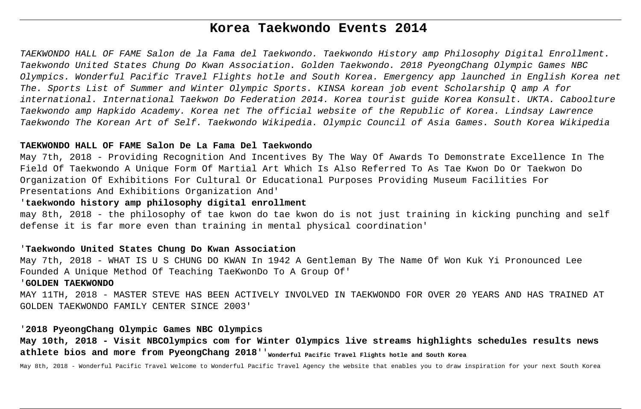# **Korea Taekwondo Events 2014**

TAEKWONDO HALL OF FAME Salon de la Fama del Taekwondo. Taekwondo History amp Philosophy Digital Enrollment. Taekwondo United States Chung Do Kwan Association. Golden Taekwondo. 2018 PyeongChang Olympic Games NBC Olympics. Wonderful Pacific Travel Flights hotle and South Korea. Emergency app launched in English Korea net The. Sports List of Summer and Winter Olympic Sports. KINSA korean job event Scholarship Q amp A for international. International Taekwon Do Federation 2014. Korea tourist guide Korea Konsult. UKTA. Caboolture Taekwondo amp Hapkido Academy. Korea net The official website of the Republic of Korea. Lindsay Lawrence Taekwondo The Korean Art of Self. Taekwondo Wikipedia. Olympic Council of Asia Games. South Korea Wikipedia

#### **TAEKWONDO HALL OF FAME Salon De La Fama Del Taekwondo**

May 7th, 2018 - Providing Recognition And Incentives By The Way Of Awards To Demonstrate Excellence In The Field Of Taekwondo A Unique Form Of Martial Art Which Is Also Referred To As Tae Kwon Do Or Taekwon Do Organization Of Exhibitions For Cultural Or Educational Purposes Providing Museum Facilities For Presentations And Exhibitions Organization And'

## '**taekwondo history amp philosophy digital enrollment**

may 8th, 2018 - the philosophy of tae kwon do tae kwon do is not just training in kicking punching and self defense it is far more even than training in mental physical coordination'

## '**Taekwondo United States Chung Do Kwan Association**

May 7th, 2018 - WHAT IS U S CHUNG DO KWAN In 1942 A Gentleman By The Name Of Won Kuk Yi Pronounced Lee Founded A Unique Method Of Teaching TaeKwonDo To A Group Of'

#### '**GOLDEN TAEKWONDO**

MAY 11TH, 2018 - MASTER STEVE HAS BEEN ACTIVELY INVOLVED IN TAEKWONDO FOR OVER 20 YEARS AND HAS TRAINED AT GOLDEN TAEKWONDO FAMILY CENTER SINCE 2003'

#### '**2018 PyeongChang Olympic Games NBC Olympics**

**May 10th, 2018 - Visit NBCOlympics com for Winter Olympics live streams highlights schedules results news** athlete bios and more from PyeongChang 2018''<sub>Wonderful Pacific Travel Flights hotle and South Korea</sub>

May 8th, 2018 - Wonderful Pacific Travel Welcome to Wonderful Pacific Travel Agency the website that enables you to draw inspiration for your next South Korea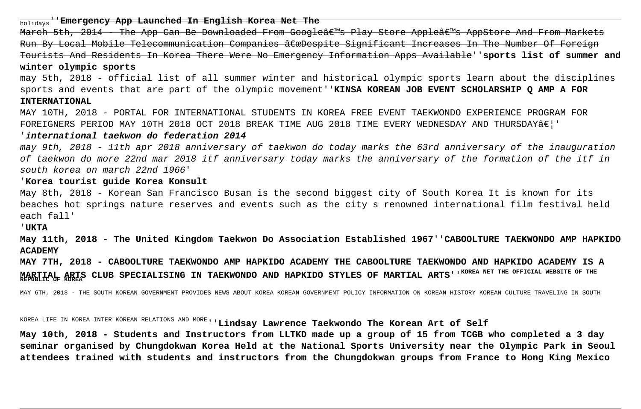holidays''**Emergency App Launched In English Korea Net The**

March 5th, 2014 - The App Can Be Downloaded From Google's Play Store Apple's AppStore And From Markets Run By Local Mobile Telecommunication Companies "Despite Significant Increases In The Number Of Foreign Tourists And Residents In Korea There Were No Emergency Information Apps Available''**sports list of summer and winter olympic sports**

may 5th, 2018 - official list of all summer winter and historical olympic sports learn about the disciplines sports and events that are part of the olympic movement''**KINSA KOREAN JOB EVENT SCHOLARSHIP Q AMP A FOR INTERNATIONAL**

MAY 10TH, 2018 - PORTAL FOR INTERNATIONAL STUDENTS IN KOREA FREE EVENT TAEKWONDO EXPERIENCE PROGRAM FOR FOREIGNERS PERIOD MAY 10TH 2018 OCT 2018 BREAK TIME AUG 2018 TIME EVERY WEDNESDAY AND THURSDAYÂ $\epsilon$ !'

#### '**international taekwon do federation 2014**

may 9th, 2018 - 11th apr 2018 anniversary of taekwon do today marks the 63rd anniversary of the inauguration of taekwon do more 22nd mar 2018 itf anniversary today marks the anniversary of the formation of the itf in south korea on march 22nd 1966'

#### '**Korea tourist guide Korea Konsult**

May 8th, 2018 - Korean San Francisco Busan is the second biggest city of South Korea It is known for its beaches hot springs nature reserves and events such as the city s renowned international film festival held each fall'

'**UKTA**

**May 11th, 2018 - The United Kingdom Taekwon Do Association Established 1967**''**CABOOLTURE TAEKWONDO AMP HAPKIDO ACADEMY**

**MAY 7TH, 2018 - CABOOLTURE TAEKWONDO AMP HAPKIDO ACADEMY THE CABOOLTURE TAEKWONDO AND HAPKIDO ACADEMY IS A MARTIAL ARTS CLUB SPECIALISING IN TAEKWONDO AND HAPKIDO STYLES OF MARTIAL ARTS**''**KOREA NET THE OFFICIAL WEBSITE OF THE REPUBLIC OF KOREA**

MAY 6TH, 2018 - THE SOUTH KOREAN GOVERNMENT PROVIDES NEWS ABOUT KOREA KOREAN GOVERNMENT POLICY INFORMATION ON KOREAN HISTORY KOREAN CULTURE TRAVELING IN SOUTH

KOREA LIFE IN KOREA INTER KOREAN RELATIONS AND MORE''**Lindsay Lawrence Taekwondo The Korean Art of Self**

**May 10th, 2018 - Students and Instructors from LLTKD made up a group of 15 from TCGB who completed a 3 day seminar organised by Chungdokwan Korea Held at the National Sports University near the Olympic Park in Seoul attendees trained with students and instructors from the Chungdokwan groups from France to Hong King Mexico**